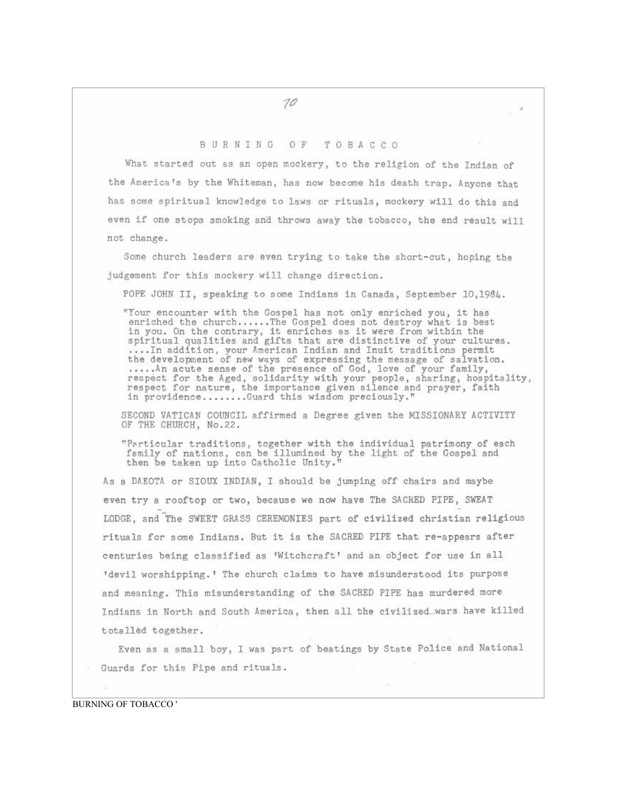## BURNING OF TOBACCO

What started out as an open mockery, to the religion of the Indian of the America's by the Whiteman, has now become his death trap. Anyone that has some spiritual knowledge to laws or rituals, mockery will do this and even if one stops smoking and throws away the tobacco, the end result will not change.

Some church leaders are even trying to take the short-cut, hoping the judgement for this mockery will change direction.

POPE JOHN II, speaking to some Indians in Canada, September 10,1984.

"Your encounter with the Gospel has not only enriched you, it has enriched the church......The Gospel does not destroy what is best in you. On the contrary, it enriches as it were from within the<br>spiritual qualities and gifts that are distinctive of your cultures.<br>...In addition, your American Indian and Inuit traditions permit<br>the development of new w respect for the Aged, solidarity with your people, sharing, hospitality, respect for nature, the importance given silence and prayer, faith in providence........Guard this wisdom preciously."

SECOND VATICAN COUNCIL affirmed a Degree given the MISSIONARY ACTIVITY OF THE CHURCH, No.22.

"Particular traditions, together with the individual patrimony of each family of nations, can be illumined by the light of the Gospel and then be taken up into Catholic Unity.'

As a DAKOTA or SIOUX INDIAN, I should be jumping off chairs and maybe even try a rooftop or two, because we now have The SACRED PIPE, SWEAT LODGE, and The SWEET GRASS CEREMONIES part of civilized christian religious rituals for some Indians. But it is the SACRED PIPE that re-appears after centuries being classified as 'Witchcraft' and an object for use in all 'devil worshipping.' The church claims to have misunderstood its purpose and meaning. This misunderstanding of the SACRED PIPE has murdered more Indians in North and South America, then all the civilized.wars have killed totalled together.

Even as a small boy, I was part of beatings by State Police and National Guards for this Pipe and rituals.

ns.

**BURNING OF TOBACCO'** 

10